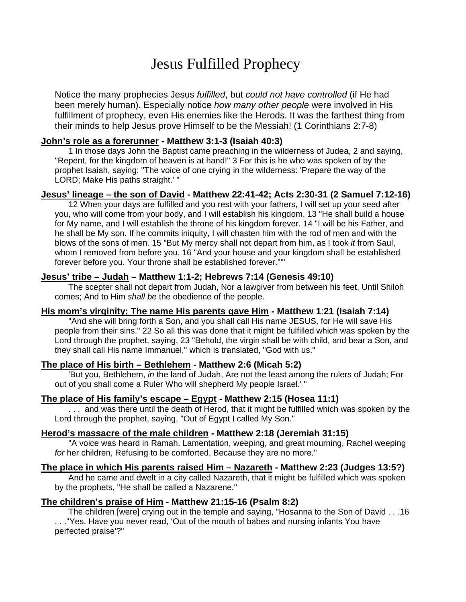# Jesus Fulfilled Prophecy

Notice the many prophecies Jesus *fulfilled*, but *could not have controlled* (if He had been merely human). Especially notice *how many other people* were involved in His fulfillment of prophecy, even His enemies like the Herods. It was the farthest thing from their minds to help Jesus prove Himself to be the Messiah! (1 Corinthians 2:7-8)

# **John's role as a forerunner - Matthew 3:1-3 (Isaiah 40:3)**

 1 In those days John the Baptist came preaching in the wilderness of Judea, 2 and saying, "Repent, for the kingdom of heaven is at hand!" 3 For this is he who was spoken of by the prophet Isaiah, saying: "The voice of one crying in the wilderness: 'Prepare the way of the LORD; Make His paths straight.' "

## **Jesus' lineage – the son of David - Matthew 22:41-42; Acts 2:30-31 (2 Samuel 7:12-16)**

 12 When your days are fulfilled and you rest with your fathers, I will set up your seed after you, who will come from your body, and I will establish his kingdom. 13 "He shall build a house for My name, and I will establish the throne of his kingdom forever. 14 "I will be his Father, and he shall be My son. If he commits iniquity, I will chasten him with the rod of men and with the blows of the sons of men. 15 "But My mercy shall not depart from him, as I took *it* from Saul, whom I removed from before you. 16 "And your house and your kingdom shall be established forever before you. Your throne shall be established forever."'"

#### **Jesus' tribe – Judah – Matthew 1:1-2; Hebrews 7:14 (Genesis 49:10)**

 The scepter shall not depart from Judah, Nor a lawgiver from between his feet, Until Shiloh comes; And to Him *shall be* the obedience of the people.

## **His mom's virginity; The name His parents gave Him - Matthew 1**:**21 (Isaiah 7:14)**

 "And she will bring forth a Son, and you shall call His name JESUS, for He will save His people from their sins." 22 So all this was done that it might be fulfilled which was spoken by the Lord through the prophet, saying, 23 "Behold, the virgin shall be with child, and bear a Son, and they shall call His name Immanuel," which is translated, "God with us."

# **The place of His birth – Bethlehem - Matthew 2:6 (Micah 5:2)**

 'But you, Bethlehem, *in* the land of Judah, Are not the least among the rulers of Judah; For out of you shall come a Ruler Who will shepherd My people Israel.' "

## **The place of His family's escape – Egypt - Matthew 2:15 (Hosea 11:1)**

 . . . and was there until the death of Herod, that it might be fulfilled which was spoken by the Lord through the prophet, saying, "Out of Egypt I called My Son."

#### **Herod's massacre of the male children - Matthew 2:18 (Jeremiah 31:15)**

 "A voice was heard in Ramah, Lamentation, weeping, and great mourning, Rachel weeping *for* her children, Refusing to be comforted, Because they are no more."

## **The place in which His parents raised Him – Nazareth - Matthew 2:23 (Judges 13:5?)**

 And he came and dwelt in a city called Nazareth, that it might be fulfilled which was spoken by the prophets, "He shall be called a Nazarene."

## **The children's praise of Him - Matthew 21:15-16 (Psalm 8:2)**

 The children [were] crying out in the temple and saying, "Hosanna to the Son of David . . .16 . . ."Yes. Have you never read, 'Out of the mouth of babes and nursing infants You have perfected praise'?"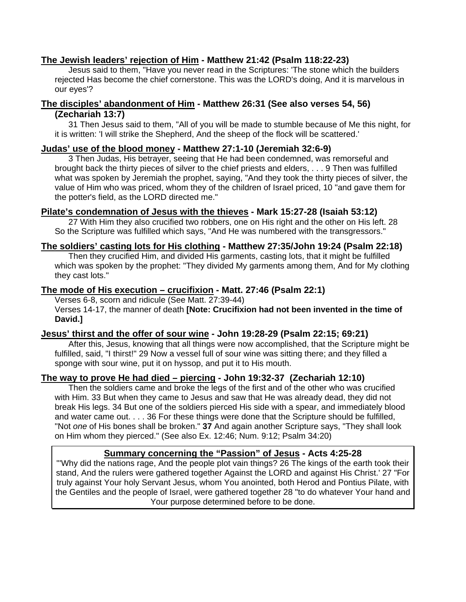# **The Jewish leaders' rejection of Him - Matthew 21:42 (Psalm 118:22-23)**

 Jesus said to them, "Have you never read in the Scriptures: 'The stone which the builders rejected Has become the chief cornerstone. This was the LORD's doing, And it is marvelous in our eyes'?

# **The disciples' abandonment of Him - Matthew 26:31 (See also verses 54, 56) (Zechariah 13:7)**

 31 Then Jesus said to them, "All of you will be made to stumble because of Me this night, for it is written: 'I will strike the Shepherd, And the sheep of the flock will be scattered.'

## **Judas' use of the blood money - Matthew 27:1-10 (Jeremiah 32:6-9)**

 3 Then Judas, His betrayer, seeing that He had been condemned, was remorseful and brought back the thirty pieces of silver to the chief priests and elders, . . . 9 Then was fulfilled what was spoken by Jeremiah the prophet, saying, "And they took the thirty pieces of silver, the value of Him who was priced, whom they of the children of Israel priced, 10 "and gave them for the potter's field, as the LORD directed me."

# **Pilate's condemnation of Jesus with the thieves - Mark 15:27-28 (Isaiah 53:12)**

 27 With Him they also crucified two robbers, one on His right and the other on His left. 28 So the Scripture was fulfilled which says, "And He was numbered with the transgressors."

# **The soldiers' casting lots for His clothing - Matthew 27:35/John 19:24 (Psalm 22:18)**

 Then they crucified Him, and divided His garments, casting lots, that it might be fulfilled which was spoken by the prophet: "They divided My garments among them, And for My clothing they cast lots."

# **The mode of His execution – crucifixion - Matt. 27:46 (Psalm 22:1)**

Verses 6-8, scorn and ridicule (See Matt. 27:39-44)

 Verses 14-17, the manner of death **[Note: Crucifixion had not been invented in the time of David.]** 

# **Jesus' thirst and the offer of sour wine - John 19:28-29 (Psalm 22:15; 69:21)**

 After this, Jesus, knowing that all things were now accomplished, that the Scripture might be fulfilled, said, "I thirst!" 29 Now a vessel full of sour wine was sitting there; and they filled a sponge with sour wine, put it on hyssop, and put it to His mouth.

# **The way to prove He had died – piercing - John 19:32-37 (Zechariah 12:10)**

 Then the soldiers came and broke the legs of the first and of the other who was crucified with Him. 33 But when they came to Jesus and saw that He was already dead, they did not break His legs. 34 But one of the soldiers pierced His side with a spear, and immediately blood and water came out. . . . 36 For these things were done that the Scripture should be fulfilled, "Not *one* of His bones shall be broken." **37** And again another Scripture says, "They shall look on Him whom they pierced." (See also Ex. 12:46; Num. 9:12; Psalm 34:20)

# **Summary concerning the "Passion" of Jesus - Acts 4:25-28**

"'Why did the nations rage, And the people plot vain things? 26 The kings of the earth took their stand, And the rulers were gathered together Against the LORD and against His Christ.' 27 "For truly against Your holy Servant Jesus, whom You anointed, both Herod and Pontius Pilate, with the Gentiles and the people of Israel, were gathered together 28 "to do whatever Your hand and Your purpose determined before to be done.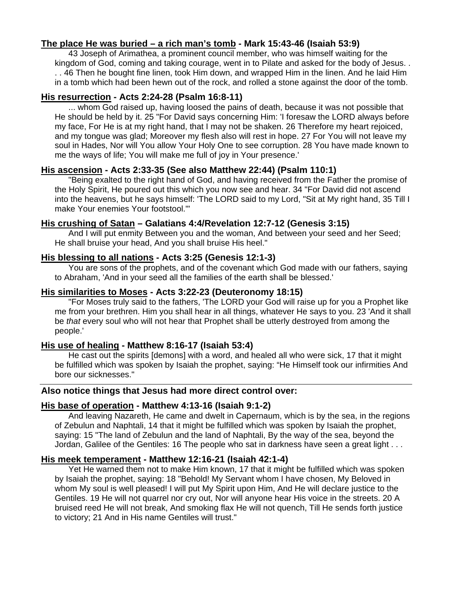# **The place He was buried – a rich man's tomb - Mark 15:43-46 (Isaiah 53:9)**

 43 Joseph of Arimathea, a prominent council member, who was himself waiting for the kingdom of God, coming and taking courage, went in to Pilate and asked for the body of Jesus. . . . 46 Then he bought fine linen, took Him down, and wrapped Him in the linen. And he laid Him in a tomb which had been hewn out of the rock, and rolled a stone against the door of the tomb.

# **His resurrection - Acts 2:24-28 (Psalm 16:8-11)**

 ... whom God raised up, having loosed the pains of death, because it was not possible that He should be held by it. 25 "For David says concerning Him: 'I foresaw the LORD always before my face, For He is at my right hand, that I may not be shaken. 26 Therefore my heart rejoiced, and my tongue was glad; Moreover my flesh also will rest in hope. 27 For You will not leave my soul in Hades, Nor will You allow Your Holy One to see corruption. 28 You have made known to me the ways of life; You will make me full of joy in Your presence.'

## **His ascension - Acts 2:33-35 (See also Matthew 22:44) (Psalm 110:1)**

 "Being exalted to the right hand of God, and having received from the Father the promise of the Holy Spirit, He poured out this which you now see and hear. 34 "For David did not ascend into the heavens, but he says himself: 'The LORD said to my Lord, "Sit at My right hand, 35 Till I make Your enemies Your footstool."'

## **His crushing of Satan – Galatians 4:4/Revelation 12:7-12 (Genesis 3:15)**

 And I will put enmity Between you and the woman, And between your seed and her Seed; He shall bruise your head, And you shall bruise His heel."

# **His blessing to all nations - Acts 3:25 (Genesis 12:1-3)**

 You are sons of the prophets, and of the covenant which God made with our fathers, saying to Abraham, 'And in your seed all the families of the earth shall be blessed.'

# **His similarities to Moses - Acts 3:22-23 (Deuteronomy 18:15)**

 "For Moses truly said to the fathers, 'The LORD your God will raise up for you a Prophet like me from your brethren. Him you shall hear in all things, whatever He says to you. 23 'And it shall be *that* every soul who will not hear that Prophet shall be utterly destroyed from among the people.'

## **His use of healing - Matthew 8:16-17 (Isaiah 53:4)**

 He cast out the spirits [demons] with a word, and healed all who were sick, 17 that it might be fulfilled which was spoken by Isaiah the prophet, saying: "He Himself took our infirmities And bore our sicknesses."

# **Also notice things that Jesus had more direct control over:**

## **His base of operation - Matthew 4:13-16 (Isaiah 9:1-2)**

 And leaving Nazareth, He came and dwelt in Capernaum, which is by the sea, in the regions of Zebulun and Naphtali, 14 that it might be fulfilled which was spoken by Isaiah the prophet, saying: 15 "The land of Zebulun and the land of Naphtali, By the way of the sea, beyond the Jordan, Galilee of the Gentiles: 16 The people who sat in darkness have seen a great light . . .

## **His meek temperament - Matthew 12:16-21 (Isaiah 42:1-4)**

 Yet He warned them not to make Him known, 17 that it might be fulfilled which was spoken by Isaiah the prophet, saying: 18 "Behold! My Servant whom I have chosen, My Beloved in whom My soul is well pleased! I will put My Spirit upon Him, And He will declare justice to the Gentiles. 19 He will not quarrel nor cry out, Nor will anyone hear His voice in the streets. 20 A bruised reed He will not break, And smoking flax He will not quench, Till He sends forth justice to victory; 21 And in His name Gentiles will trust."